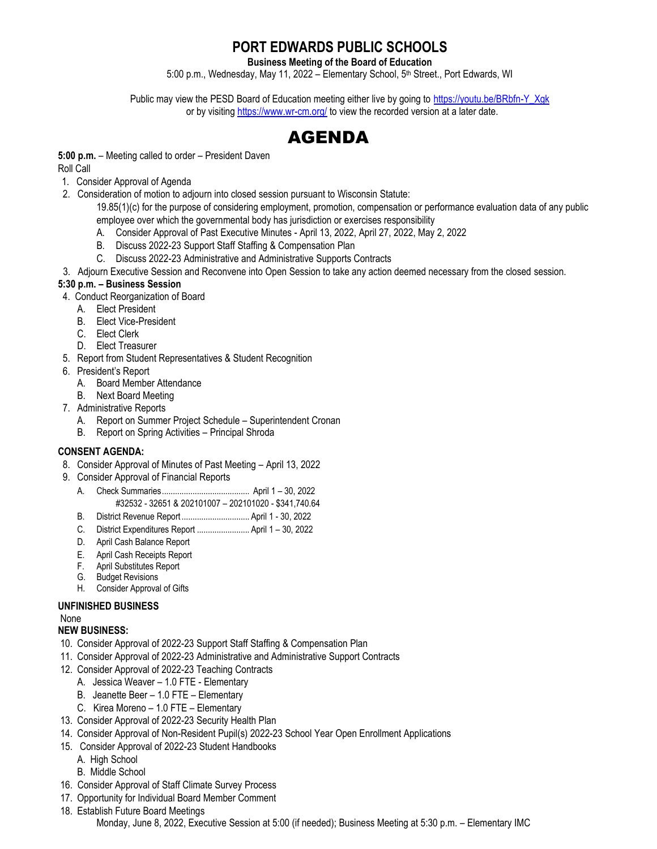# **PORT EDWARDS PUBLIC SCHOOLS**

**Business Meeting of the Board of Education**

5:00 p.m., Wednesday, May 11, 2022 - Elementary School, 5<sup>th</sup> Street., Port Edwards, WI

Public may view the PESD Board of Education meeting either live by going to [https://youtu.be/BRbfn-Y\\_Xgk](https://youtu.be/BRbfn-Y_Xgk) or by visitin[g https://www.wr-cm.org/](https://www.wr-cm.org/) to view the recorded version at a later date.

# AGENDA

**5:00 p.m.** – Meeting called to order – President Daven

Roll Call

- 1. Consider Approval of Agenda
- 2. Consideration of motion to adjourn into closed session pursuant to Wisconsin Statute:

19.85(1)(c) for the purpose of considering employment, promotion, compensation or performance evaluation data of any public employee over which the governmental body has jurisdiction or exercises responsibility

- A. Consider Approval of Past Executive Minutes April 13, 2022, April 27, 2022, May 2, 2022
- B. Discuss 2022-23 Support Staff Staffing & Compensation Plan
- C. Discuss 2022-23 Administrative and Administrative Supports Contracts
- 3. Adjourn Executive Session and Reconvene into Open Session to take any action deemed necessary from the closed session.

# **5:30 p.m. – Business Session**

- 4. Conduct Reorganization of Board
	- A. Elect President
	- B. Elect Vice-President
	- C. Elect Clerk
	- D. Elect Treasurer
- 5. Report from Student Representatives & Student Recognition
- 6. President's Report
	- A. Board Member Attendance
	- B. Next Board Meeting
- 7. Administrative Reports
	- A. Report on Summer Project Schedule Superintendent Cronan
	- B. Report on Spring Activities Principal Shroda

# **CONSENT AGENDA:**

- 8. Consider Approval of Minutes of Past Meeting April 13, 2022
- 9. Consider Approval of Financial Reports
	- A. Check Summaries........................................ April 1 30, 2022
		- #32532 32651 & 202101007 202101020 \$341,740.64
	- B. District Revenue Report ............................... April 1 30, 2022
	- C. District Expenditures Report ........................ April 1 30, 2022
	- D. April Cash Balance Report
	- E. April Cash Receipts Report
	- F. April Substitutes Report
	- G. Budget Revisions
	- H. Consider Approval of Gifts

#### **UNFINISHED BUSINESS**

# None

# **NEW BUSINESS:**

- 10. Consider Approval of 2022-23 Support Staff Staffing & Compensation Plan
- 11. Consider Approval of 2022-23 Administrative and Administrative Support Contracts
- 12. Consider Approval of 2022-23 Teaching Contracts
	- A. Jessica Weaver 1.0 FTE Elementary
	- B. Jeanette Beer 1.0 FTE Elementary
	- C. Kirea Moreno 1.0 FTE Elementary
- 13. Consider Approval of 2022-23 Security Health Plan
- 14. Consider Approval of Non-Resident Pupil(s) 2022-23 School Year Open Enrollment Applications
- 15. Consider Approval of 2022-23 Student Handbooks
	- A. High School
	- B. Middle School
- 16. Consider Approval of Staff Climate Survey Process
- 17. Opportunity for Individual Board Member Comment
- 18. Establish Future Board Meetings

Monday, June 8, 2022, Executive Session at 5:00 (if needed); Business Meeting at 5:30 p.m. – Elementary IMC